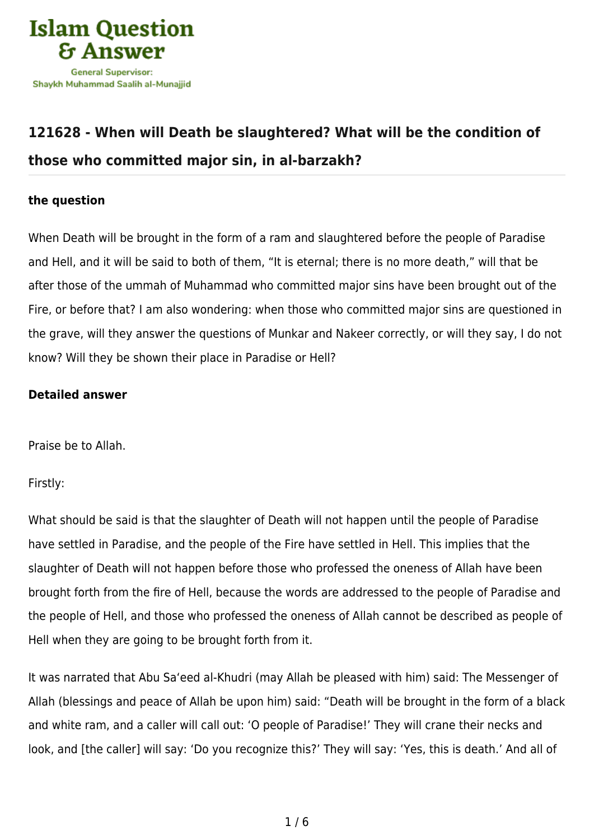

## **[121628 - When will Death be slaughtered? What will be the condition of](https://islamqa.com/en/answers/121628/when-will-death-be-slaughtered-what-will-be-the-condition-of-those-who-committed-major-sin-in-al-barzakh) [those who committed major sin, in al-barzakh?](https://islamqa.com/en/answers/121628/when-will-death-be-slaughtered-what-will-be-the-condition-of-those-who-committed-major-sin-in-al-barzakh)**

## **the question**

When Death will be brought in the form of a ram and slaughtered before the people of Paradise and Hell, and it will be said to both of them, "It is eternal; there is no more death," will that be after those of the ummah of Muhammad who committed major sins have been brought out of the Fire, or before that? I am also wondering: when those who committed major sins are questioned in the grave, will they answer the questions of Munkar and Nakeer correctly, or will they say, I do not know? Will they be shown their place in Paradise or Hell?

## **Detailed answer**

Praise be to Allah.

Firstly:

What should be said is that the slaughter of Death will not happen until the people of Paradise have settled in Paradise, and the people of the Fire have settled in Hell. This implies that the slaughter of Death will not happen before those who professed the oneness of Allah have been brought forth from the fire of Hell, because the words are addressed to the people of Paradise and the people of Hell, and those who professed the oneness of Allah cannot be described as people of Hell when they are going to be brought forth from it.

It was narrated that Abu Sa'eed al-Khudri (may Allah be pleased with him) said: The Messenger of Allah (blessings and peace of Allah be upon him) said: "Death will be brought in the form of a black and white ram, and a caller will call out: 'O people of Paradise!' They will crane their necks and look, and [the caller] will say: 'Do you recognize this?' They will say: 'Yes, this is death.' And all of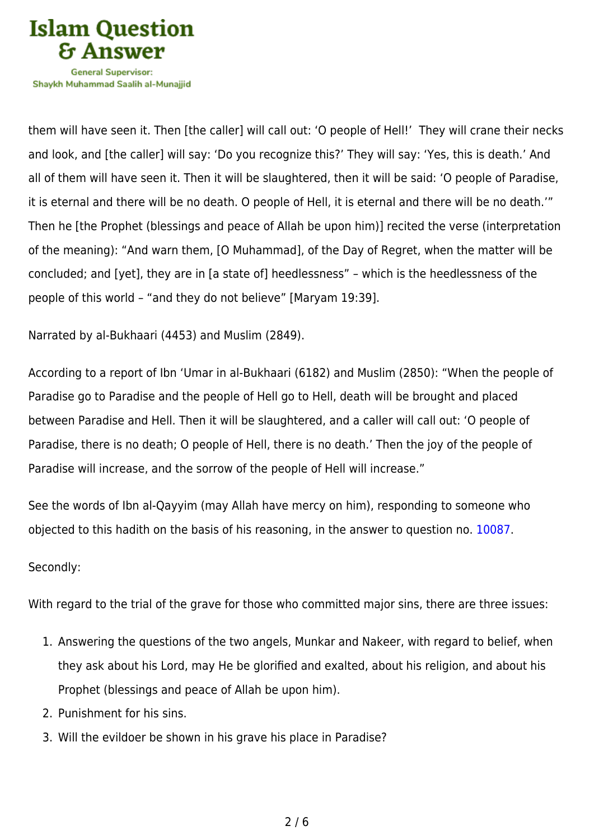

Shavkh Muhammad Saalih al-Munaiiid

them will have seen it. Then [the caller] will call out: 'O people of Hell!' They will crane their necks and look, and [the caller] will say: 'Do you recognize this?' They will say: 'Yes, this is death.' And all of them will have seen it. Then it will be slaughtered, then it will be said: 'O people of Paradise, it is eternal and there will be no death. O people of Hell, it is eternal and there will be no death.'" Then he [the Prophet (blessings and peace of Allah be upon him)] recited the verse (interpretation of the meaning): "And warn them, [O Muhammad], of the Day of Regret, when the matter will be concluded; and [yet], they are in [a state of] heedlessness" – which is the heedlessness of the people of this world – "and they do not believe" [Maryam 19:39].

Narrated by al-Bukhaari (4453) and Muslim (2849).

According to a report of Ibn 'Umar in al-Bukhaari (6182) and Muslim (2850): "When the people of Paradise go to Paradise and the people of Hell go to Hell, death will be brought and placed between Paradise and Hell. Then it will be slaughtered, and a caller will call out: 'O people of Paradise, there is no death; O people of Hell, there is no death.' Then the joy of the people of Paradise will increase, and the sorrow of the people of Hell will increase."

See the words of Ibn al-Qayyim (may Allah have mercy on him), responding to someone who objected to this hadith on the basis of his reasoning, in the answer to question no. [10087.](https://islamqa.com/en/answers/10087)

## Secondly:

With regard to the trial of the grave for those who committed major sins, there are three issues:

- 1. Answering the questions of the two angels, Munkar and Nakeer, with regard to belief, when they ask about his Lord, may He be glorified and exalted, about his religion, and about his Prophet (blessings and peace of Allah be upon him).
- 2. Punishment for his sins.
- 3. Will the evildoer be shown in his grave his place in Paradise?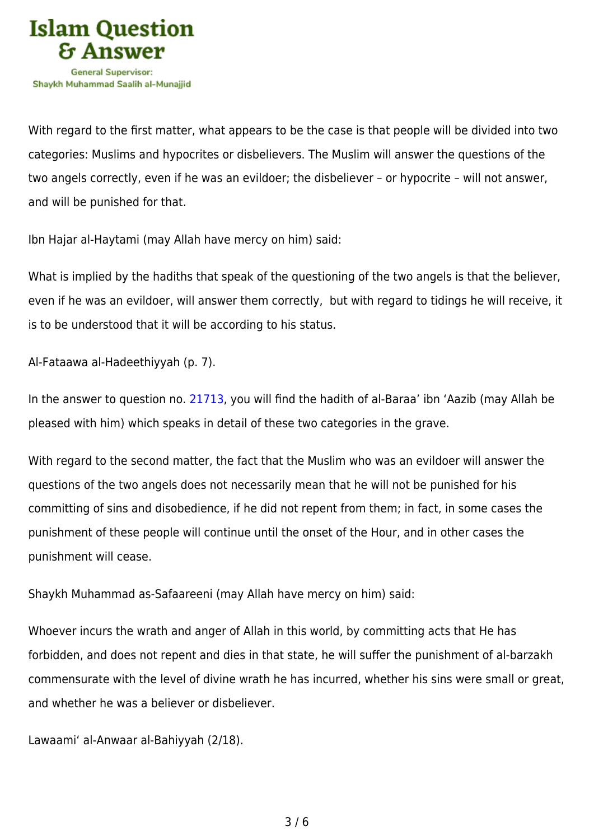

With regard to the first matter, what appears to be the case is that people will be divided into two categories: Muslims and hypocrites or disbelievers. The Muslim will answer the questions of the two angels correctly, even if he was an evildoer; the disbeliever – or hypocrite – will not answer, and will be punished for that.

Ibn Hajar al-Haytami (may Allah have mercy on him) said:

What is implied by the hadiths that speak of the questioning of the two angels is that the believer, even if he was an evildoer, will answer them correctly, but with regard to tidings he will receive, it is to be understood that it will be according to his status.

Al-Fataawa al-Hadeethiyyah (p. 7).

In the answer to question no. [21713](https://islamqa.com/en/answers/21713), you will find the hadith of al-Baraa' ibn 'Aazib (may Allah be pleased with him) which speaks in detail of these two categories in the grave.

With regard to the second matter, the fact that the Muslim who was an evildoer will answer the questions of the two angels does not necessarily mean that he will not be punished for his committing of sins and disobedience, if he did not repent from them; in fact, in some cases the punishment of these people will continue until the onset of the Hour, and in other cases the punishment will cease.

Shaykh Muhammad as-Safaareeni (may Allah have mercy on him) said:

Whoever incurs the wrath and anger of Allah in this world, by committing acts that He has forbidden, and does not repent and dies in that state, he will suffer the punishment of al-barzakh commensurate with the level of divine wrath he has incurred, whether his sins were small or great, and whether he was a believer or disbeliever.

Lawaami' al-Anwaar al-Bahiyyah (2/18).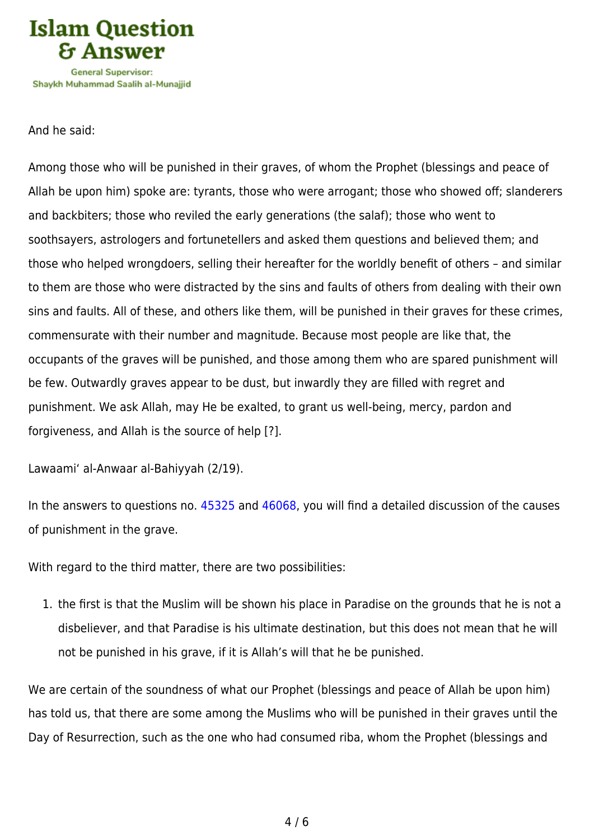

And he said:

Among those who will be punished in their graves, of whom the Prophet (blessings and peace of Allah be upon him) spoke are: tyrants, those who were arrogant; those who showed off; slanderers and backbiters; those who reviled the early generations (the salaf); those who went to soothsayers, astrologers and fortunetellers and asked them questions and believed them; and those who helped wrongdoers, selling their hereafter for the worldly benefit of others – and similar to them are those who were distracted by the sins and faults of others from dealing with their own sins and faults. All of these, and others like them, will be punished in their graves for these crimes, commensurate with their number and magnitude. Because most people are like that, the occupants of the graves will be punished, and those among them who are spared punishment will be few. Outwardly graves appear to be dust, but inwardly they are filled with regret and punishment. We ask Allah, may He be exalted, to grant us well-being, mercy, pardon and forgiveness, and Allah is the source of help [?].

Lawaami' al-Anwaar al-Bahiyyah (2/19).

In the answers to questions no. [45325](https://islamqa.com/en/answers/45325) and [46068](https://islamqa.com/en/answers/46068), you will find a detailed discussion of the causes of punishment in the grave.

With regard to the third matter, there are two possibilities:

1. the first is that the Muslim will be shown his place in Paradise on the grounds that he is not a disbeliever, and that Paradise is his ultimate destination, but this does not mean that he will not be punished in his grave, if it is Allah's will that he be punished.

We are certain of the soundness of what our Prophet (blessings and peace of Allah be upon him) has told us, that there are some among the Muslims who will be punished in their graves until the Day of Resurrection, such as the one who had consumed riba, whom the Prophet (blessings and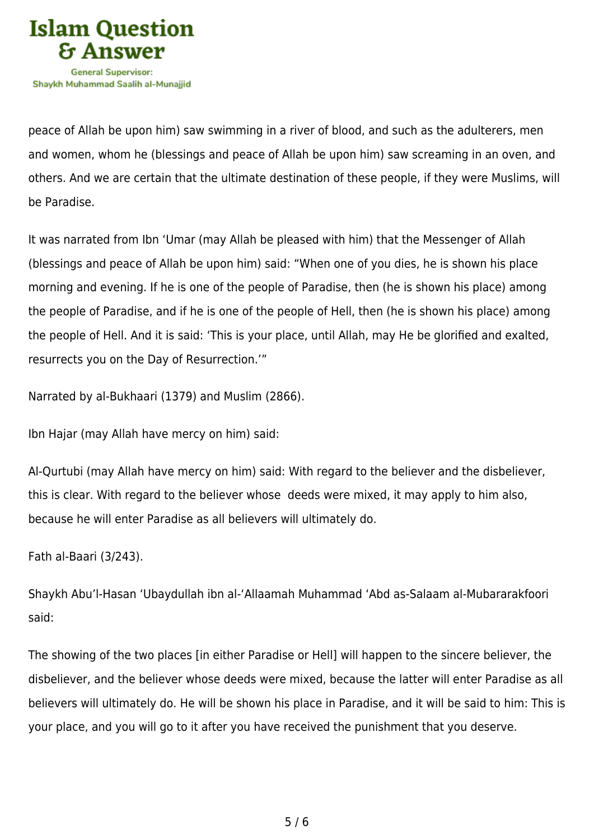

peace of Allah be upon him) saw swimming in a river of blood, and such as the adulterers, men and women, whom he (blessings and peace of Allah be upon him) saw screaming in an oven, and others. And we are certain that the ultimate destination of these people, if they were Muslims, will be Paradise.

It was narrated from Ibn 'Umar (may Allah be pleased with him) that the Messenger of Allah (blessings and peace of Allah be upon him) said: "When one of you dies, he is shown his place morning and evening. If he is one of the people of Paradise, then (he is shown his place) among the people of Paradise, and if he is one of the people of Hell, then (he is shown his place) among the people of Hell. And it is said: 'This is your place, until Allah, may He be glorified and exalted, resurrects you on the Day of Resurrection.'"

Narrated by al-Bukhaari (1379) and Muslim (2866).

Ibn Hajar (may Allah have mercy on him) said:

Al-Qurtubi (may Allah have mercy on him) said: With regard to the believer and the disbeliever, this is clear. With regard to the believer whose deeds were mixed, it may apply to him also, because he will enter Paradise as all believers will ultimately do.

Fath al-Baari (3/243).

Shaykh Abu'l-Hasan 'Ubaydullah ibn al-'Allaamah Muhammad 'Abd as-Salaam al-Mubararakfoori said:

The showing of the two places [in either Paradise or Hell] will happen to the sincere believer, the disbeliever, and the believer whose deeds were mixed, because the latter will enter Paradise as all believers will ultimately do. He will be shown his place in Paradise, and it will be said to him: This is your place, and you will go to it after you have received the punishment that you deserve.